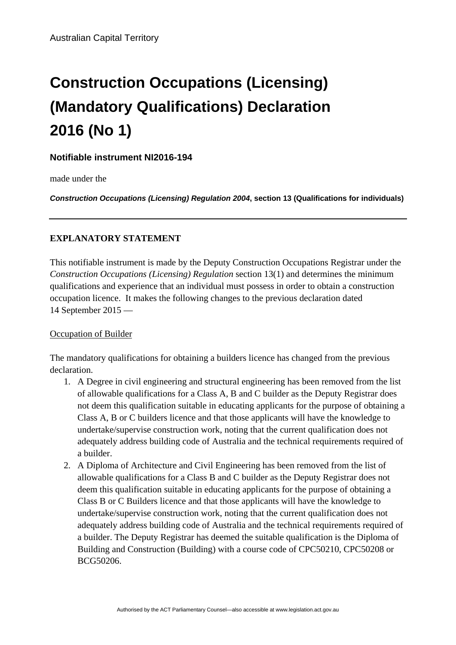# **Construction Occupations (Licensing) (Mandatory Qualifications) Declaration 2016 (No 1)**

## **Notifiable instrument NI2016-194**

made under the

*Construction Occupations (Licensing) Regulation 2004***, section 13 (Qualifications for individuals)**

## **EXPLANATORY STATEMENT**

This notifiable instrument is made by the Deputy Construction Occupations Registrar under the *Construction Occupations (Licensing) Regulation* section 13(1) and determines the minimum qualifications and experience that an individual must possess in order to obtain a construction occupation licence. It makes the following changes to the previous declaration dated 14 September 2015 —

#### Occupation of Builder

The mandatory qualifications for obtaining a builders licence has changed from the previous declaration.

- 1. A Degree in civil engineering and structural engineering has been removed from the list of allowable qualifications for a Class A, B and C builder as the Deputy Registrar does not deem this qualification suitable in educating applicants for the purpose of obtaining a Class A, B or C builders licence and that those applicants will have the knowledge to undertake/supervise construction work, noting that the current qualification does not adequately address building code of Australia and the technical requirements required of a builder.
- 2. A Diploma of Architecture and Civil Engineering has been removed from the list of allowable qualifications for a Class B and C builder as the Deputy Registrar does not deem this qualification suitable in educating applicants for the purpose of obtaining a Class B or C Builders licence and that those applicants will have the knowledge to undertake/supervise construction work, noting that the current qualification does not adequately address building code of Australia and the technical requirements required of a builder. The Deputy Registrar has deemed the suitable qualification is the Diploma of Building and Construction (Building) with a course code of CPC50210, CPC50208 or BCG50206.